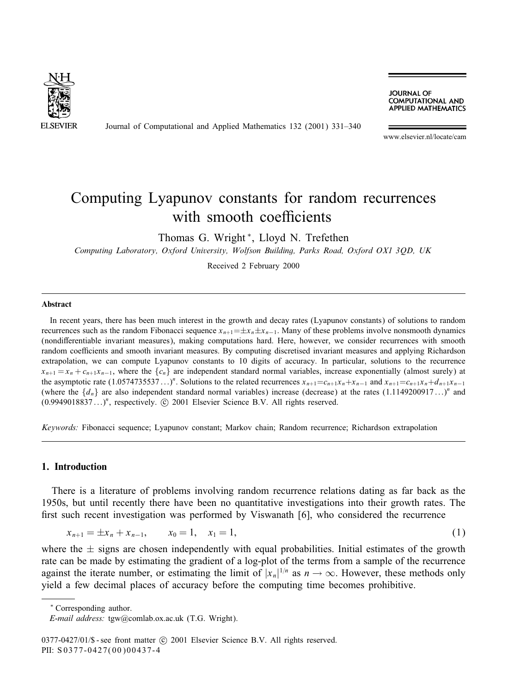

Journal of Computational and Applied Mathematics 132 (2001) 331–340

**JOURNAL OF COMPUTATIONAL AND APPLIED MATHEMATICS** 

www.elsevier.nl/locate/cam

# Computing Lyapunov constants for random recurrences with smooth coefficients

Thomas G. Wright <sup>∗</sup>, Lloyd N. Trefethen

*Computing Laboratory, Oxford University, Wolfson Building, Parks Road, Oxford OX1 3QD, UK*

Received 2 February 2000

#### **Abstract**

In recent years, there has been much interest in the growth and decay rates (Lyapunov constants) of solutions to random recurrences such as the random Fibonacci sequence  $x_{n+1} = \pm x_n \pm x_{n-1}$ . Many of these problems involve nonsmooth dynamics (nondifferentiable invariant measures), making computations hard. Here, however, we consider recurrences with smooth random coefficients and smooth invariant measures. By computing discretised invariant measures and applying Richardson extrapolation, we can compute Lyapunov constants to 10 digits of accuracy. In particular, solutions to the recurrence  $x_{n+1} = x_n + c_{n+1}x_{n-1}$ , where the  $\{c_n\}$  are independent standard normal variables, increase exponentially (almost surely) at the asymptotic rate  $(1.0574735537...)$ <sup>n</sup>. Solutions to the related recurrences  $x_{n+1}=c_{n+1}x_n+x_{n-1}$  and  $x_{n+1}=c_{n+1}x_n+d_{n+1}x_{n-1}$ (where the  $\{d_n\}$  are also independent standard normal variables) increase (decrease) at the rates  $(1.1149200917...)^n$  and  $(0.9949018837...)$ <sup>n</sup>, respectively.  $\odot$  2001 Elsevier Science B.V. All rights reserved.

*Keywords:* Fibonacci sequence; Lyapunov constant; Markov chain; Random recurrence; Richardson extrapolation

#### **1. Introduction**

There is a literature of problems involving random recurrence relations dating as far back as the 1950s, but until recently there have been no quantitative investigations into their growth rates. The first such recent investigation was performed by Viswanath [6], who considered the recurrence

$$
x_{n+1} = \pm x_n + x_{n-1}, \qquad x_0 = 1, \quad x_1 = 1,\tag{1}
$$

where the  $\pm$  signs are chosen independently with equal probabilities. Initial estimates of the growth rate can be made by estimating the gradient of a log-plot of the terms from a sample of the recurrence against the iterate number, or estimating the limit of  $|x_n|^{1/n}$  as  $n \to \infty$ . However, these methods only yield a few decimal places of accuracy before the computing time becomes prohibitive.

<sup>∗</sup> Corresponding author.

*E-mail address:* tgw@comlab.ox.ac.uk (T.G. Wright).

 $0377-0427/01/\$$  - see front matter (c) 2001 Elsevier Science B.V. All rights reserved. PII: S 0377-0427(00)00437-4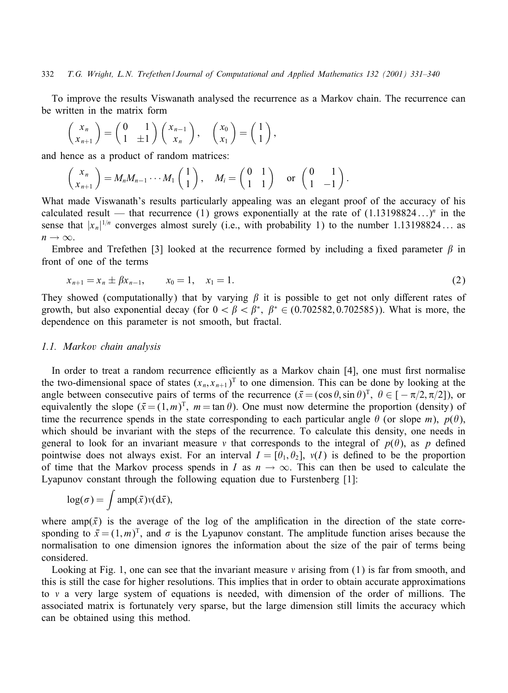To improve the results Viswanath analysed the recurrence as a Markov chain. The recurrence can be written in the matrix form

$$
\begin{pmatrix} x_n \\ x_{n+1} \end{pmatrix} = \begin{pmatrix} 0 & 1 \\ 1 & \pm 1 \end{pmatrix} \begin{pmatrix} x_{n-1} \\ x_n \end{pmatrix}, \quad \begin{pmatrix} x_0 \\ x_1 \end{pmatrix} = \begin{pmatrix} 1 \\ 1 \end{pmatrix},
$$

and hence as a product of random matrices:

$$
\begin{pmatrix} x_n \\ x_{n+1} \end{pmatrix} = M_n M_{n-1} \cdots M_1 \begin{pmatrix} 1 \\ 1 \end{pmatrix}, \quad M_i = \begin{pmatrix} 0 & 1 \\ 1 & 1 \end{pmatrix} \quad \text{or} \quad \begin{pmatrix} 0 & 1 \\ 1 & -1 \end{pmatrix}.
$$

What made Viswanath's results particularly appealing was an elegant proof of the accuracy of his calculated result — that recurrence (1) grows exponentially at the rate of  $(1.13198824...)$ <sup>n</sup> in the sense that  $|x_n|^{1/n}$  converges almost surely (i.e., with probability 1) to the number 1.13198824... as  $n \to \infty$ .

Embree and Trefethen [3] looked at the recurrence formed by including a fixed parameter  $\beta$  in front of one of the terms

$$
x_{n+1} = x_n \pm \beta x_{n-1}, \qquad x_0 = 1, \quad x_1 = 1. \tag{2}
$$

They showed (computationally) that by varying  $\beta$  it is possible to get not only different rates of growth, but also exponential decay (for  $0 < \beta < \beta^*$ ,  $\beta^* \in (0.702582, 0.702585)$ ). What is more, the dependence on this parameter is not smooth, but fractal.

#### *1.1. Markov chain analysis*

In order to treat a random recurrence efficiently as a Markov chain  $[4]$ , one must first normalise the two-dimensional space of states  $(x_n, x_{n+1})^T$  to one dimension. This can be done by looking at the angle between consecutive pairs of terms of the recurrence  $(\bar{x} = (\cos \theta, \sin \theta)^T, \ \theta \in [-\pi/2, \pi/2])$ , or equivalently the slope  $(\bar{x} = (1, m)^T, m = \tan \theta)$ . One must now determine the proportion (density) of time the recurrence spends in the state corresponding to each particular angle  $\theta$  (or slope m),  $p(\theta)$ , which should be invariant with the steps of the recurrence. To calculate this density, one needs in general to look for an invariant measure v that corresponds to the integral of  $p(\theta)$ , as p defined pointwise does not always exist. For an interval  $I = [\theta_1, \theta_2], v(I)$  is defined to be the proportion of time that the Markov process spends in I as  $n \to \infty$ . This can then be used to calculate the Lyapunov constant through the following equation due to Furstenberg [1]:

$$
\log(\sigma) = \int \operatorname{amp}(\bar{x}) v(\mathrm{d}\bar{x}),
$$

where amp( $\bar{x}$ ) is the average of the log of the amplification in the direction of the state corresponding to  $\bar{x} = (1, m)^T$ , and  $\sigma$  is the Lyapunov constant. The amplitude function arises because the normalisation to one dimension ignores the information about the size of the pair of terms being considered.

Looking at Fig. 1, one can see that the invariant measure  $\nu$  arising from (1) is far from smooth, and this is still the case for higher resolutions. This implies that in order to obtain accurate approximations to  $\nu$  a very large system of equations is needed, with dimension of the order of millions. The associated matrix is fortunately very sparse, but the large dimension still limits the accuracy which can be obtained using this method.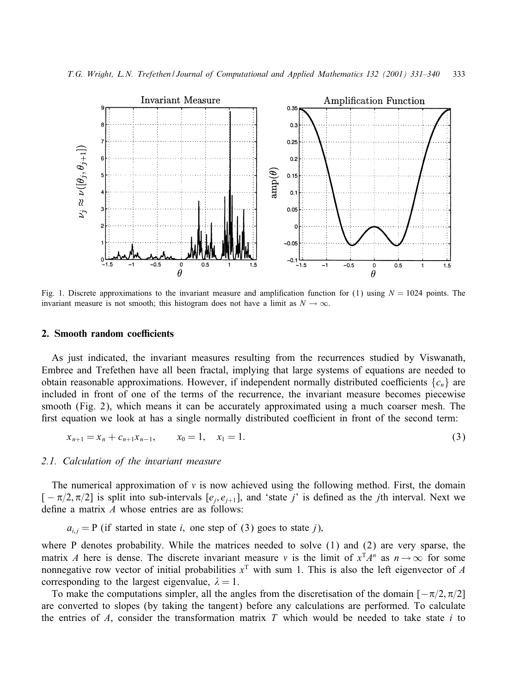

Fig. 1. Discrete approximations to the invariant measure and amplification function for (1) using  $N = 1024$  points. The invariant measure is not smooth; this histogram does not have a limit as  $N \to \infty$ .

#### **2. Smooth random coefficients**

As just indicated, the invariant measures resulting from the recurrences studied by Viswanath, Embree and Trefethen have all been fractal, implying that large systems of equations are needed to obtain reasonable approximations. However, if independent normally distributed coefficients  ${c_n}$  are included in front of one of the terms of the recurrence, the invariant measure becomes piecewise smooth (Fig. 2), which means it can be accurately approximated using a much coarser mesh. The first equation we look at has a single normally distributed coefficient in front of the second term:

$$
x_{n+1} = x_n + c_{n+1}x_{n-1}, \qquad x_0 = 1, \quad x_1 = 1. \tag{3}
$$

## *2.1. Calculation of the invariant measure*

The numerical approximation of  $\nu$  is now achieved using the following method. First, the domain  $[-\pi/2, \pi/2]$  is split into sub-intervals  $[e_i, e_{i+1}]$ , and 'state j' is defined as the jth interval. Next we define a matrix  $A$  whose entries are as follows:

 $a_{i,j} = P$  (if started in state i, one step of (3) goes to state j),

where P denotes probability. While the matrices needed to solve (1) and (2) are very sparse, the matrix A here is dense. The discrete invariant measure v is the limit of  $x^TA^n$  as  $n \to \infty$  for some nonnegative row vector of initial probabilities  $x<sup>T</sup>$  with sum 1. This is also the left eigenvector of A corresponding to the largest eigenvalue,  $\lambda = 1$ .

To make the computations simpler, all the angles from the discretisation of the domain  $[-\pi/2, \pi/2]$ are converted to slopes (by taking the tangent) before any calculations are performed. To calculate the entries of  $A$ , consider the transformation matrix  $T$  which would be needed to take state  $i$  to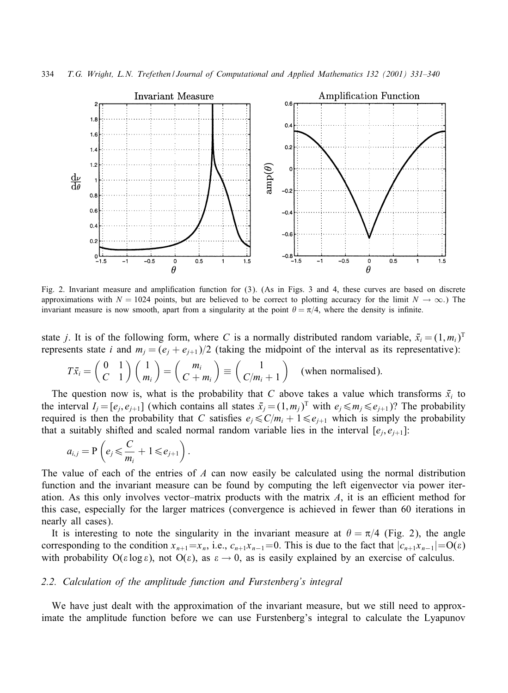

Fig. 2. Invariant measure and amplification function for  $(3)$ . (As in Figs. 3 and 4, these curves are based on discrete approximations with  $N = 1024$  points, but are believed to be correct to plotting accuracy for the limit  $N \to \infty$ .) The invariant measure is now smooth, apart from a singularity at the point  $\theta = \pi/4$ , where the density is infinite.

state j. It is of the following form, where C is a normally distributed random variable,  $\bar{x}_i = (1, m_i)^T$ represents state *i* and  $m_i = (e_i + e_{i+1})/2$  (taking the midpoint of the interval as its representative):

$$
T\bar{x}_i = \begin{pmatrix} 0 & 1 \\ C & 1 \end{pmatrix} \begin{pmatrix} 1 \\ m_i \end{pmatrix} = \begin{pmatrix} m_i \\ C+m_i \end{pmatrix} \equiv \begin{pmatrix} 1 \\ C/m_i + 1 \end{pmatrix}
$$
 (when normalised).

The question now is, what is the probability that C above takes a value which transforms  $\bar{x}_i$  to the interval  $I_j = [e_j, e_{j+1}]$  (which contains all states  $\bar{x}_j = (1, m_j)^T$  with  $e_j \leq m_j \leq e_{j+1}$ )? The probability required is then the probability that C satisfies  $e_j \le C/m_i + 1 \le e_{j+1}$  which is simply the probability that a suitably shifted and scaled normal random variable lies in the interval  $[e_i, e_{i+1}]$ :

$$
a_{i,j} = \mathbf{P}\left(e_j \leqslant \frac{C}{m_i} + 1 \leqslant e_{j+1}\right).
$$

The value of each of the entries of  $\Lambda$  can now easily be calculated using the normal distribution function and the invariant measure can be found by computing the left eigenvector via power iteration. As this only involves vector–matrix products with the matrix  $\Lambda$ , it is an efficient method for this case, especially for the larger matrices (convergence is achieved in fewer than 60 iterations in nearly all cases).

It is interesting to note the singularity in the invariant measure at  $\theta = \pi/4$  (Fig. 2), the angle corresponding to the condition  $x_{n+1} = x_n$ , i.e.,  $c_{n+1}x_{n-1} = 0$ . This is due to the fact that  $|c_{n+1}x_{n-1}| = O(\varepsilon)$ with probability  $O(\varepsilon \log \varepsilon)$ , not  $O(\varepsilon)$ , as  $\varepsilon \to 0$ , as is easily explained by an exercise of calculus.

## *2.2. Calculation of the amplitude function and Furstenberg's integral*

We have just dealt with the approximation of the invariant measure, but we still need to approximate the amplitude function before we can use Furstenberg's integral to calculate the Lyapunov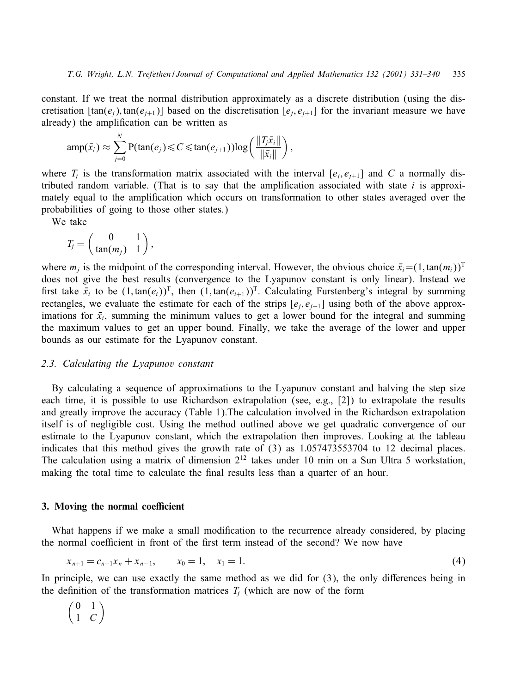constant. If we treat the normal distribution approximately as a discrete distribution (using the discretisation  $[\tan(e_i), \tan(e_{i+1})]$  based on the discretisation  $[e_i, e_{i+1}]$  for the invariant measure we have already) the amplification can be written as

$$
\operatorname{amp}(\bar{x}_i) \approx \sum_{j=0}^N \operatorname{P}(\operatorname{tan}(e_j) \leq C \leq \operatorname{tan}(e_{j+1})) \log \left( \frac{\|T_j \bar{x}_i\|}{\|\bar{x}_i\|} \right),
$$

where  $T_i$  is the transformation matrix associated with the interval  $[e_i, e_{i+1}]$  and C a normally distributed random variable. (That is to say that the amplification associated with state  $i$  is approximately equal to the amplification which occurs on transformation to other states averaged over the probabilities of going to those other states.)

We take

$$
T_j=\left(\begin{array}{cc}0&1\\ \tan(m_j)&1\end{array}\right),\,
$$

where  $m_j$  is the midpoint of the corresponding interval. However, the obvious choice  $\bar{x}_i=(1,\tan(m_i))^T$ does not give the best results (convergence to the Lyapunov constant is only linear). Instead we first take  $\bar{x}_i$  to be  $(1, \tan(e_i))^T$ , then  $(1, \tan(e_{i+1}))^T$ . Calculating Furstenberg's integral by summing rectangles, we evaluate the estimate for each of the strips  $[e_i, e_{i+1}]$  using both of the above approximations for  $\bar{x}_i$ , summing the minimum values to get a lower bound for the integral and summing the maximum values to get an upper bound. Finally, we take the average of the lower and upper bounds as our estimate for the Lyapunov constant.

## *2.3. Calculating the Lyapunov constant*

By calculating a sequence of approximations to the Lyapunov constant and halving the step size each time, it is possible to use Richardson extrapolation (see, e.g., [2]) to extrapolate the results and greatly improve the accuracy (Table 1).The calculation involved in the Richardson extrapolation itself is of negligible cost. Using the method outlined above we get quadratic convergence of our estimate to the Lyapunov constant, which the extrapolation then improves. Looking at the tableau indicates that this method gives the growth rate of (3) as 1:057473553704 to 12 decimal places. The calculation using a matrix of dimension  $2^{12}$  takes under 10 min on a Sun Ultra 5 workstation, making the total time to calculate the final results less than a quarter of an hour.

#### **3. Moving the normal coefficient**

What happens if we make a small modification to the recurrence already considered, by placing the normal coefficient in front of the first term instead of the second? We now have

$$
x_{n+1} = c_{n+1}x_n + x_{n-1}, \qquad x_0 = 1, \quad x_1 = 1. \tag{4}
$$

In principle, we can use exactly the same method as we did for  $(3)$ , the only differences being in the definition of the transformation matrices  $T_i$  (which are now of the form

$$
\begin{pmatrix} 0 & 1 \\ 1 & C \end{pmatrix}
$$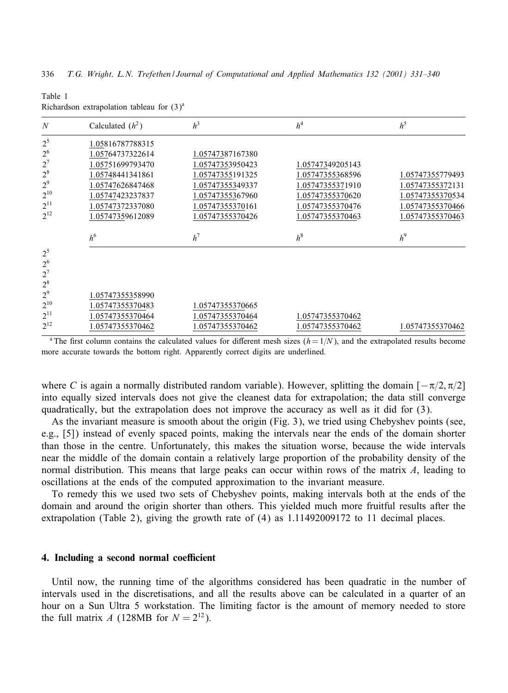| $\boldsymbol{N}$        | Calculated $(h^2)$ | $h^3$            | h <sup>4</sup>   | $h^5$            |
|-------------------------|--------------------|------------------|------------------|------------------|
| $2^5$                   | 1.05816787788315   |                  |                  |                  |
| 2 <sup>6</sup>          | 1.05764737322614   | 1.05747387167380 |                  |                  |
| $2^7$                   | 1.05751699793470   | 1.05747353950423 | 1.05747349205143 |                  |
| $2^8$                   | 1.05748441341861   | 1.05747355191325 | 1.05747355368596 | 1.05747355779493 |
| $2^9$                   | 1.05747626847468   | 1.05747355349337 | 1.05747355371910 | 1.05747355372131 |
| $2^{10}$                | 1.05747423237837   | 1.05747355367960 | 1.05747355370620 | 1.05747355370534 |
| $2^{11}$                | 1.05747372337080   | 1.05747355370161 | 1.05747355370476 | 1.05747355370466 |
| $2^{12}$                | 1.05747359612089   | 1.05747355370426 | 1.05747355370463 | 1.05747355370463 |
|                         | $h^6$              | $h^7$            | $h^8$            | $h^9$            |
| $2^5$<br>2 <sup>6</sup> |                    |                  |                  |                  |
|                         |                    |                  |                  |                  |
| $2^7$<br>$2^8$          |                    |                  |                  |                  |
| 2 <sup>9</sup>          | 1.05747355358990   |                  |                  |                  |
| $2^{10}$                | 1.05747355370483   | 1.05747355370665 |                  |                  |
| $2^{11}$                | 1.05747355370464   | 1.05747355370464 | 1.05747355370462 |                  |

Table 1 Richardson extrapolation tableau for  $(3)^a$ 

<sup>a</sup> The first column contains the calculated values for different mesh sizes  $(h= 1/N)$ , and the extrapolated results become more accurate towards the bottom right. Apparently correct digits are underlined.

where C is again a normally distributed random variable). However, splitting the domain  $[-\pi/2, \pi/2]$ into equally sized intervals does not give the cleanest data for extrapolation; the data still converge quadratically, but the extrapolation does not improve the accuracy as well as it did for (3).

As the invariant measure is smooth about the origin (Fig. 3), we tried using Chebyshev points (see, e.g., [5]) instead of evenly spaced points, making the intervals near the ends of the domain shorter than those in the centre. Unfortunately, this makes the situation worse, because the wide intervals near the middle of the domain contain a relatively large proportion of the probability density of the normal distribution. This means that large peaks can occur within rows of the matrix A, leading to oscillations at the ends of the computed approximation to the invariant measure.

To remedy this we used two sets of Chebyshev points, making intervals both at the ends of the domain and around the origin shorter than others. This yielded much more fruitful results after the extrapolation (Table 2), giving the growth rate of (4) as 1:11492009172 to 11 decimal places.

#### **4.** Including a second normal coefficient

Until now, the running time of the algorithms considered has been quadratic in the number of intervals used in the discretisations, and all the results above can be calculated in a quarter of an hour on a Sun Ultra 5 workstation. The limiting factor is the amount of memory needed to store the full matrix A (128MB for  $N = 2^{12}$ ).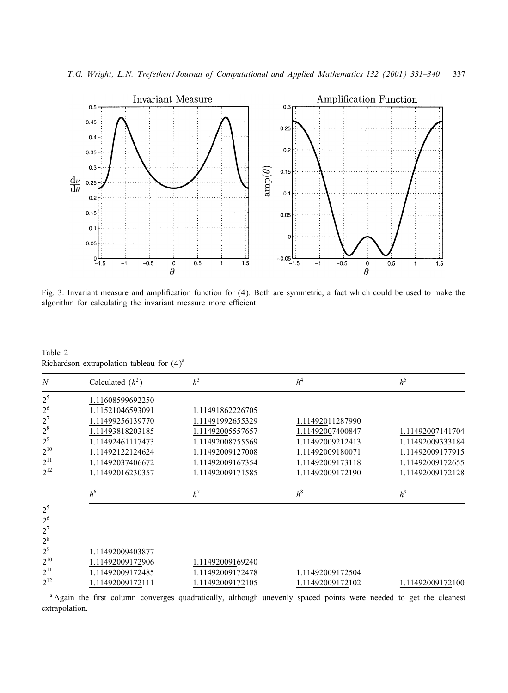*T.G. Wright, L.N. Trefethen / Journal of Computational and Applied Mathematics 132 (2001) 331–340* 337



Fig. 3. Invariant measure and amplification function for (4). Both are symmetric, a fact which could be used to make the algorithm for calculating the invariant measure more efficient.

Table 2 Richardson extrapolation tableau for  $(4)^a$ 

| $\boldsymbol{N}$        | Calculated $(h^2)$ | h <sup>3</sup>   | h <sup>4</sup>   | $h^5$            |
|-------------------------|--------------------|------------------|------------------|------------------|
| $2^5$                   | 1.11608599692250   |                  |                  |                  |
| 2 <sup>6</sup>          | 1.11521046593091   | 1.11491862226705 |                  |                  |
| $2^7$                   | 1.11499256139770   | 1.11491992655329 | 1.11492011287990 |                  |
| $2^8$                   | 1.11493818203185   | 1.11492005557657 | 1.11492007400847 | 1.11492007141704 |
| 2 <sup>9</sup>          | 1.11492461117473   | 1.11492008755569 | 1.11492009212413 | 1.11492009333184 |
| $2^{10}$                | 1.11492122124624   | 1.11492009127008 | 1.11492009180071 | 1.11492009177915 |
| $2^{11}$                | 1.11492037406672   | 1.11492009167354 | 1.11492009173118 | 1.11492009172655 |
| $2^{12}$                | 1.11492016230357   | 1.11492009171585 | 1.11492009172190 | 1.11492009172128 |
|                         | h <sup>6</sup>     | $h^7$            | $h^8$            | $h^9$            |
| $2^5$<br>2 <sup>6</sup> |                    |                  |                  |                  |
| $2^7$                   |                    |                  |                  |                  |
| $2^8$<br>2 <sup>9</sup> |                    |                  |                  |                  |
|                         | 1.11492009403877   |                  |                  |                  |
| $2^{10}$                | 1.11492009172906   | 1.11492009169240 |                  |                  |
| $2^{11}$                | 1.11492009172485   | 1.11492009172478 | 1.11492009172504 |                  |
| $2^{12}$                | 1.11492009172111   | 1.11492009172105 | 1.11492009172102 | 1.11492009172100 |

<sup>a</sup> Again the first column converges quadratically, although unevenly spaced points were needed to get the cleanest extrapolation.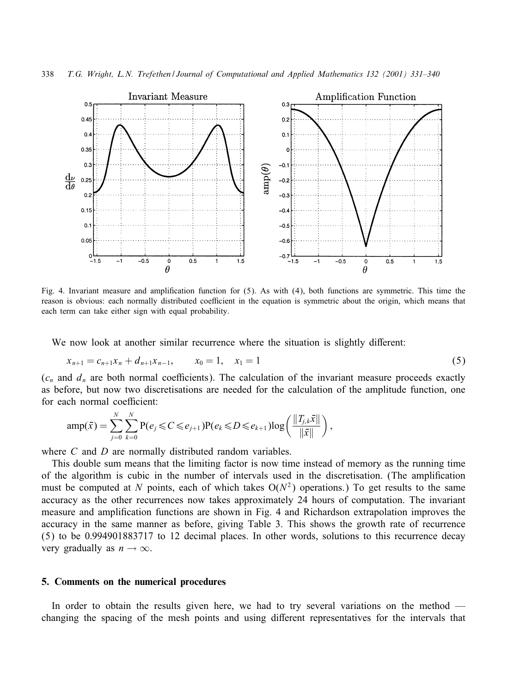

Fig. 4. Invariant measure and amplification function for  $(5)$ . As with  $(4)$ , both functions are symmetric. This time the reason is obvious: each normally distributed coefficient in the equation is symmetric about the origin, which means that each term can take either sign with equal probability.

We now look at another similar recurrence where the situation is slightly different:

$$
x_{n+1} = c_{n+1}x_n + d_{n+1}x_{n-1}, \qquad x_0 = 1, \quad x_1 = 1 \tag{5}
$$

 $(c_n$  and  $d_n$  are both normal coefficients). The calculation of the invariant measure proceeds exactly as before, but now two discretisations are needed for the calculation of the amplitude function, one for each normal coefficient:

$$
amp(\bar{x}) = \sum_{j=0}^{N} \sum_{k=0}^{N} P(e_j \leq C \leq e_{j+1}) P(e_k \leq D \leq e_{k+1}) log\left(\frac{\|T_{j,k}\bar{x}\|}{\|\bar{x}\|}\right),
$$

where C and D are normally distributed random variables.

This double sum means that the limiting factor is now time instead of memory as the running time of the algorithm is cubic in the number of intervals used in the discretisation. (The amplification must be computed at N points, each of which takes  $O(N^2)$  operations.) To get results to the same accuracy as the other recurrences now takes approximately 24 hours of computation. The invariant measure and amplification functions are shown in Fig. 4 and Richardson extrapolation improves the accuracy in the same manner as before, giving Table 3. This shows the growth rate of recurrence (5) to be 0:994901883717 to 12 decimal places. In other words, solutions to this recurrence decay very gradually as  $n \to \infty$ .

## **5. Comments on the numerical procedures**

In order to obtain the results given here, we had to try several variations on the method changing the spacing of the mesh points and using different representatives for the intervals that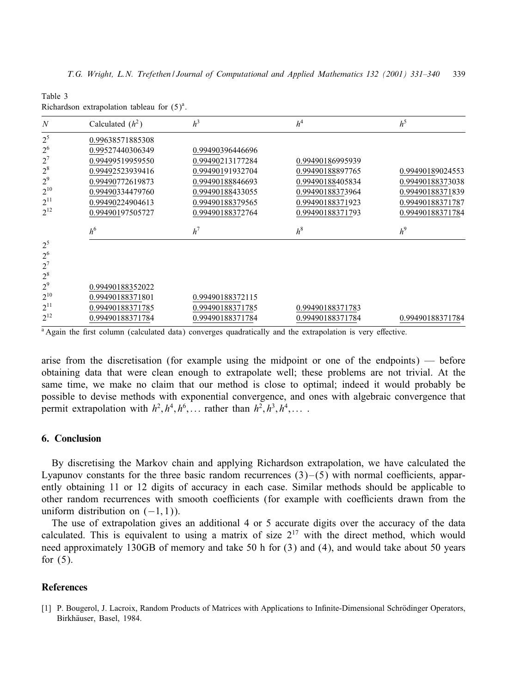| N              | Calculated $(h^2)$ | h <sup>3</sup>   | h <sup>4</sup>   | $h^5$            |
|----------------|--------------------|------------------|------------------|------------------|
| $2^5$          | 0.99638571885308   |                  |                  |                  |
| 2 <sup>6</sup> | 0.99527440306349   | 0.99490396446696 |                  |                  |
| $2^7$          | 0.99499519959550   | 0.99490213177284 | 0.99490186995939 |                  |
| $2^8$          | 0.99492523939416   | 0.99490191932704 | 0.99490188897765 | 0.99490189024553 |
| $2^9$          | 0.99490772619873   | 0.99490188846693 | 0.99490188405834 | 0.99490188373038 |
| $2^{10}$       | 0.99490334479760   | 0.99490188433055 | 0.99490188373964 | 0.99490188371839 |
| $2^{11}$       | 0.99490224904613   | 0.99490188379565 | 0.99490188371923 | 0.99490188371787 |
| $2^{12}$       | 0.99490197505727   | 0.99490188372764 | 0.99490188371793 | 0.99490188371784 |
|                | h <sup>6</sup>     | $h^7$            | $h^8$            | $h^9$            |
| $2^5$          |                    |                  |                  |                  |
| 2 <sup>6</sup> |                    |                  |                  |                  |
| $2^7$<br>$2^8$ |                    |                  |                  |                  |
| 2 <sup>9</sup> | 0.99490188352022   |                  |                  |                  |
| $2^{10}$       | 0.99490188371801   | 0.99490188372115 |                  |                  |
| $2^{11}$       |                    |                  |                  |                  |
|                | 0.99490188371785   | 0.99490188371785 | 0.99490188371783 |                  |
| $2^{12}$       | 0.99490188371784   | 0.99490188371784 | 0.99490188371784 | 0.99490188371784 |

Table 3 Richardson extrapolation tableau for  $(5)^a$ .

<sup>a</sup> Again the first column (calculated data) converges quadratically and the extrapolation is very effective.

arise from the discretisation (for example using the midpoint or one of the endpoints) — before obtaining data that were clean enough to extrapolate well; these problems are not trivial. At the same time, we make no claim that our method is close to optimal; indeed it would probably be possible to devise methods with exponential convergence, and ones with algebraic convergence that permit extrapolation with  $h^2$ ,  $h^4$ ,  $h^6$ ,... rather than  $h^2$ ,  $h^3$ ,  $h^4$ ,...

## **6. Conclusion**

By discretising the Markov chain and applying Richardson extrapolation, we have calculated the Lyapunov constants for the three basic random recurrences  $(3)$ – $(5)$  with normal coefficients, apparently obtaining 11 or 12 digits of accuracy in each case. Similar methods should be applicable to other random recurrences with smooth coefficients (for example with coefficients drawn from the uniform distribution on  $(-1, 1)$ ).

The use of extrapolation gives an additional 4 or 5 accurate digits over the accuracy of the data calculated. This is equivalent to using a matrix of size  $2^{17}$  with the direct method, which would need approximately 130GB of memory and take 50 h for (3) and (4), and would take about 50 years for  $(5)$ .

## **References**

[1] P. Bougerol, J. Lacroix, Random Products of Matrices with Applications to Infinite-Dimensional Schrödinger Operators, Birkhäuser, Basel, 1984.